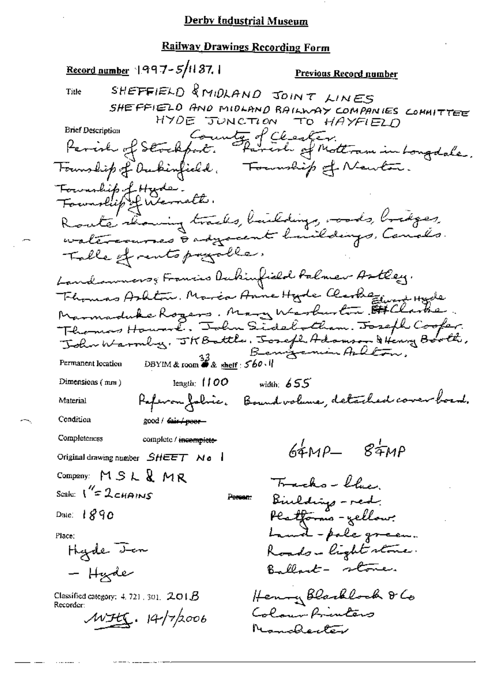Record number 1997-5/1137.1 Previous Record number SHEFFIELD & MIDLAND JOINT LINES Title SHEFFIELD AND MIDLAND RAILWAY COMPANIES COMMITTEE HYDE JUNCTION TO HAYFIELD County of Cleater.<br>Sort. Parenh of Mottram in Longdale. **Brief Description** Parish of Stockfort. Formuship of Newton. Founship of Dukinfield, Fournhip of Hyde.<br>Fournhip of Werneth. Route showing tracks, buildings, roods, bridges, Table of rents payable. Landsumers, Francis Aubinfield Palmer Astley. Fhomas Ashton, Marca Anne Hyde Clarkezind Hyde Thomas Howard. John Sidelotham. Joseph Cooper. John Warmly, JKBattle, Josefl, Adamson & Henry Booth, DBYIM & room  $\overset{33}{\bullet}$  & shelf : 560. Permanent location Dimensions  $(mn)$ length:  $100$ width:  $655$ Referan folice. Bound valume, detailed cover board. Material Condition good / dair / poor Completeness complete / incomplete- $64MP - 84MP$ Original drawing number  $SHEET$  No  $\blacksquare$ Company: MSL&MR Trachs-blue Scale:  $1'' = 2c$ HAINS Biuldings - red. Person: <del>Pls tform</del>s - zellow: Date:  $1890$ Land - pole green. Place: Hyde <del>Jen</del> Roads-light stone. Ballant - stone. - Hude Henry Blacklock & Co Classified category:  $4.721$ , 301,  $201B$ Recorder: Colour Printers  $MFEC.14/76006$ Nondecter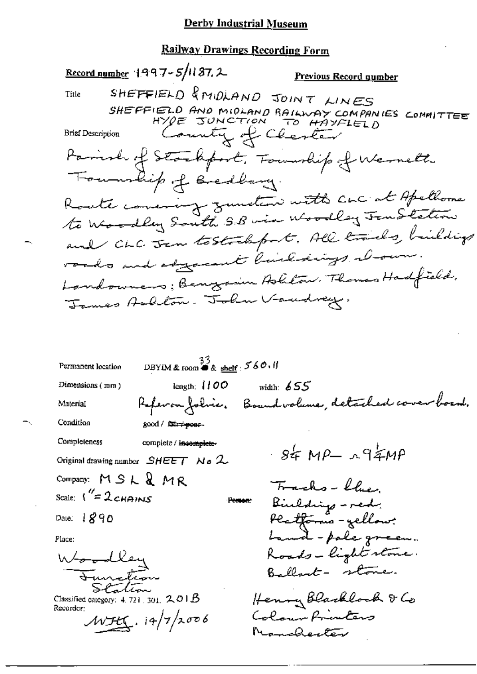#### Railway Drawings Recording Form

Record number  $1997 - 5/1137$ , 2 Previous Record number SHEFFIELD & MIDLAND JOINT LINES Title SHEFFIELD AND MIDLAND RAILWAY COMPANIES COMMITTEE County of Chester **Brief Description** Parish of Stackport. Township of Wernett Township of Bredbary. Route concrerg zunten with cuc at Apellome to Woodley South S.B via Woodley Jen Station and CLC Jan tostrelipet. All trades, buildings roads and adjacent line sings . I sum. Landowners; Benyamin Askton, Thomas Hadfield, James Ashlow. John Vandrey. DBYIM & room  $\overset{33}{\bullet}$  & shelf : 560.11 Permanent location  $Dimensions$  ( $mm$ ) length:  $1100$ width:  $655$ Referan folice. Boundvalence, detailed cover board. Material Condition good / fair+poss-Completeness complete / incomplete- $-84 \text{ MP} - \text{194}$ Original drawing number  $SHEET$  N  $\sigma$  2 Company:  $MSLR$  MR Trachs-blue Scale:  $1'' = 2c$ HAINS Birlding - red. **Pomon** Platforms - yellow? Date:  $1890$ band-pole green. Place: Roads-light stone. Woodley Ballart - stone. Function Station Henry Blacklock & Co Classified category:  $4.721, 301, 2.01B$ Recorder: Colour Printers  $WHC.14/7/2006$ Namalenter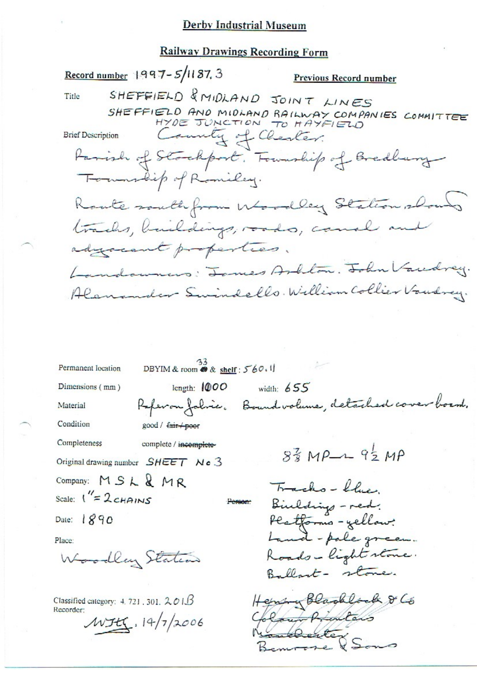#### **Railway Drawings Recording Form**

Record number 1997-5/1187, 3 Previous Record number SHEFFIELD & MIDLAND JOINT LINES Title SHEFFIELD AND MIDLAND RAILWAY COMPANIES COMMITTEE sunty of Chester. **Brief Description** Farish of Stockport. Township of Bredbury Township of Romiley. Route south from Woodley Station shows tracks, buildings, roads, cause in adyournt properties. Landowners: James Arblow. John Vacdrey. Alenander Swindells. William Collier Vandrey. DBYIM & room  $\frac{33}{68}$  & shelf : 560.1 Permanent location Dimensions (mm) length:  $1000$ width:  $655$ Referan fabric. Boundvalune, detached cover board. Material Condition good / fair poor Completeness complete / incomplete- $8\frac{2}{3}MP - 9\frac{1}{2}MP$ Original drawing number SHEET No 3 Company:  $MSLRMR$ Tracks-blue Scale:  $1'' = 2c$ HAINS Binldings - red. **Person** Platforms-yellow:<br>Land-pole green. Date: 1890 Place: Roads-light stone. Woodley Station Ballart- stone. Hermany Blackbook & Co Classified category:  $4.721$ , 301,  $201B$ Recorder: Court Printeds  $WJtX.14/7/2006$ 

VSons

 $\overline{\phantom{a}}$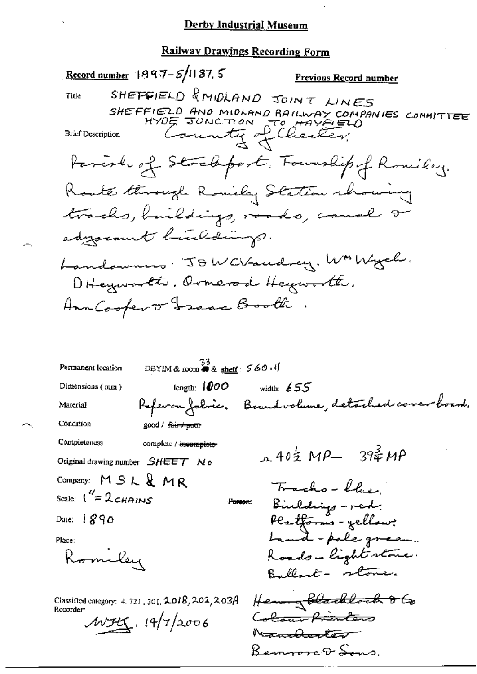# Railway Drawings Recording Form

|                          | Record number $1997 - 5/1187$ , 5                                              | <u>Previous Record number</u>                      |
|--------------------------|--------------------------------------------------------------------------------|----------------------------------------------------|
| Title                    |                                                                                | SHEFFIELD & MIDLAND JOINT LINES                    |
|                          |                                                                                | SHE FFIELD AND MIDLAND RAILWAY COMPANIES COMMITTEE |
| <b>Brief Description</b> |                                                                                | County of Charley                                  |
|                          |                                                                                |                                                    |
|                          |                                                                                | Parish of Strekfort, Fourship of Romiley.          |
|                          |                                                                                | Koute through Romilay Station strowing             |
|                          |                                                                                | tracks, buildings, roads, canal or                 |
|                          | adysament hinldings.                                                           |                                                    |
|                          |                                                                                |                                                    |
|                          |                                                                                | Landowners: JOWCVaudrey. WMWych.                   |
|                          |                                                                                | Diffeywarth. Ormerod Heyworth.                     |
|                          | AnnCoopert Franc Booth.                                                        |                                                    |
|                          |                                                                                |                                                    |
|                          |                                                                                |                                                    |
| Permanent location       | DBYIM & room $\overset{33}{\bullet}$ & shelf : 560 $\cdot$ if                  |                                                    |
| Dimensions (mm)          | length: $1000$                                                                 | width: $655$                                       |
| Material                 | Referan fokuer.                                                                | Bound volume, detached cover board.                |
| Condition                | good / <del>fair≠po</del> or                                                   |                                                    |
| Completeness             | complete / incomplete-                                                         |                                                    |
|                          | Original drawing number $SHEET$ No                                             | $A40\frac{1}{2}MP - 39\frac{2}{7}MP$               |
| Company: MSL&MR          |                                                                                | Tracks - Chier                                     |
| Scale: $1'' = 2c$ HAINS  | Person:                                                                        | Biuldings - red.                                   |
| Date: $1890$             |                                                                                | Platforms - yellow?                                |
| Place:                   |                                                                                | Land-pole green.                                   |
| Romeley                  |                                                                                | Roads - light stone.                               |
|                          |                                                                                | Ballant - stone.                                   |
|                          | Classified category: $4,721$ , $301, \textbf{2.018}$ , $2.02$ , $2.03$ $\beta$ | He <del>em g blacklock 8</del> to                  |
| Recorder:                | MFEC.19/7/2006                                                                 | Colour Privators                                   |
|                          |                                                                                | N <del>anderle</del> t                             |

Bemmore & Sons.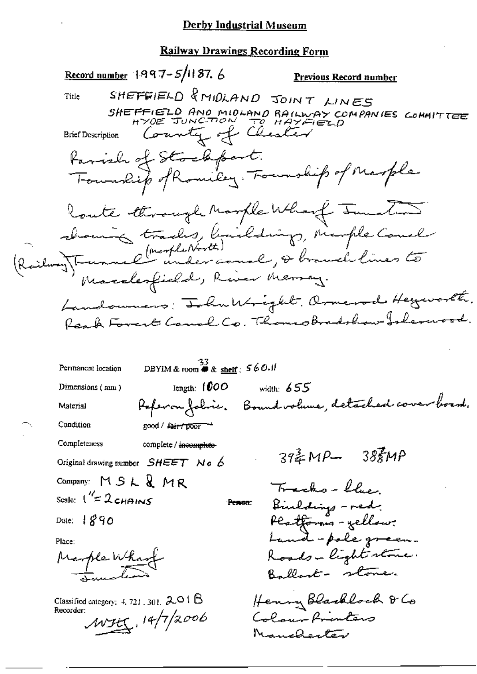$\ddot{\phantom{a}}$ 

# **Railway Drawings Recording Form**

|                                            | Record number 1997-5/1187. 6                                   | <b>Previous Record number</b>                                                                |  |
|--------------------------------------------|----------------------------------------------------------------|----------------------------------------------------------------------------------------------|--|
| Title                                      |                                                                | SHEFFIELD & MIDLAND JOINT LINES                                                              |  |
|                                            |                                                                | SHEFFIELD AND MIDLAND RAILWAY COMPANIES COMMITTEE                                            |  |
|                                            | Brief Description County of Chester                            |                                                                                              |  |
|                                            |                                                                |                                                                                              |  |
|                                            |                                                                | Family of Stockfort.<br>Township of Romiley, Foundit of Marple                               |  |
|                                            |                                                                | Route through Marple Wharf Junction                                                          |  |
|                                            |                                                                | channing tracks, buildings, marple Could<br>(Railway) Trunnel under court, & branch lines to |  |
|                                            |                                                                |                                                                                              |  |
|                                            |                                                                |                                                                                              |  |
|                                            |                                                                |                                                                                              |  |
|                                            |                                                                | Landoumers: IchuWright. Ormerod Heyworld.                                                    |  |
|                                            |                                                                | Reach Forest Comel Co. Thomsobradshow Islemood.                                              |  |
| Permanent location                         | DBYIM & room $\stackrel{22}{\bullet}$ & shelf : 560.11         |                                                                                              |  |
| Dimensions (mm)                            |                                                                |                                                                                              |  |
| Material                                   | length: $1000$                                                 | width: $655$                                                                                 |  |
| Condition                                  |                                                                | Keferon foliès. Bound volume, detached cover board.                                          |  |
| Completeness                               | good / fair / poor                                             |                                                                                              |  |
|                                            | complete / incomplete-<br>Original drawing number $SHEET$ No 6 | $39\frac{2}{3}MP - 38\frac{2}{3}MP$                                                          |  |
| Company: MSL&MR                            |                                                                |                                                                                              |  |
| Scale: $1'' = 2c$ HAINS                    | Person:                                                        | Tracks-llue                                                                                  |  |
| Date: $1890$                               |                                                                | Binldings - red.                                                                             |  |
|                                            |                                                                | Platforms - yellow?<br>Land-pole green.                                                      |  |
| Place:                                     |                                                                | Roads-light stone.                                                                           |  |
| Marple Wharf                               |                                                                | Ballast - stone.                                                                             |  |
| Classified category: $4, 721, 301, 2.01$ B |                                                                | Henny Blacklock & Co                                                                         |  |
| Recorder:                                  | MSEC, 14/7/2006                                                | Colour Printers                                                                              |  |
|                                            |                                                                | Manchenter                                                                                   |  |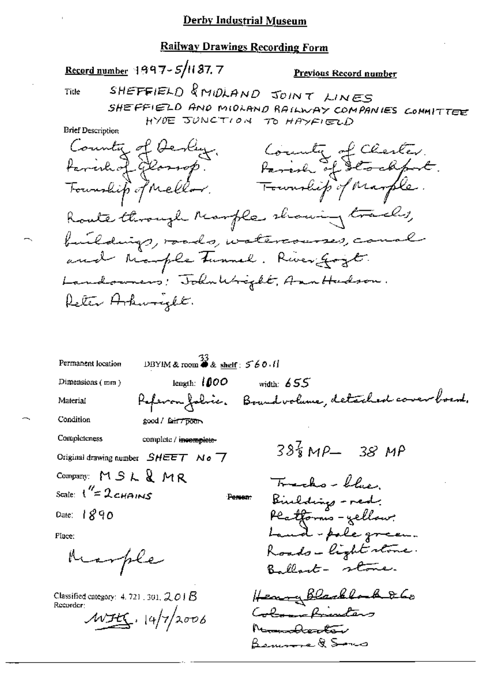Record number 1997-5/187.7

Previous Record number

Title

SHEFFIELD & MIDLAND JOINT LINES SHEFFIELD AND MIDLAND RAILWAY COMPANIES COMMITTEE HYDE JUNCTION TO HAYFIELD

| County of Devly.                      |                                            |
|---------------------------------------|--------------------------------------------|
| tarinhof glassop.                     |                                            |
| Tourship of Mellow.                   | County of Charles.<br>Parish of Stockfort. |
| Route through Ranfle showing tracks,  |                                            |
| buildings, roads, watercourses, canal |                                            |
| and Marple tunnel. River Gozt.        |                                            |
| Landowners! John Wright, Ann Hudson.  |                                            |
| Reter Hokwogelt.                      |                                            |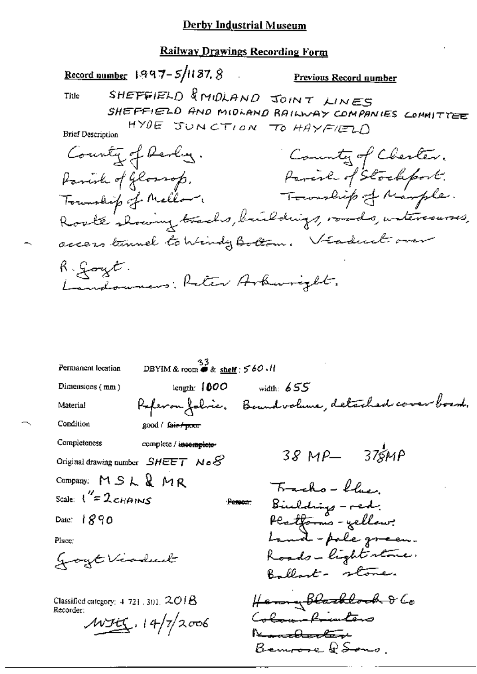<u>Record number</u>  $1997 - 5/1187.8$ 

Previous Record number

Title

SHEFFIELD & MIDLAND JOINT LINES SHEFFIELD AND MIDLAND RAILWAY COMPANIES CONMITTEE HYDE JUNCTION TO HAYFIELD

| County of Revery.                                     | County of Chester.   |
|-------------------------------------------------------|----------------------|
| Parish of Glorrop.                                    | Parcil of Stockfort. |
| Tourship of Mellow                                    | Township of Marple.  |
| Rooke showing tracks, buildings, roads, watercourses, |                      |
| access tunnel to Windy Bottom. Véaduct over           |                      |
| R : Goyt.<br>Landouners; Reter Arburight,             |                      |

33<br>DBYIM & room  $\bullet$  & shelf : 560.11 Permanent location length:  $1000$ Dimensions (mm) width:  $655$ Referan fabric, Boundvalune, detached cover boem, Material Condition good / fair poor Completeness complete / incomplete- $38MP - 375MP$ Original drawing number  $SHEET$  No  $\mathcal S$ Company:  $MSL$   $M$   $R$ Tracho-blue Scale:  $\frac{1}{2}$  2 cHAINS Biulding - red.<br>Platforms - yellow:<br>Land - pole green. Person: Date: 1890 Place: Roads-light state. goyt Viadual Ballant- stone. Henny Blacklock & Co<br>Co<del>lean Priviler</del>s Classified category:  $4.721$ , 301,  $201B$ Recorder:  $MFEC.14/7/2006$ he<del>markkerter</del>e Bennose & Sons.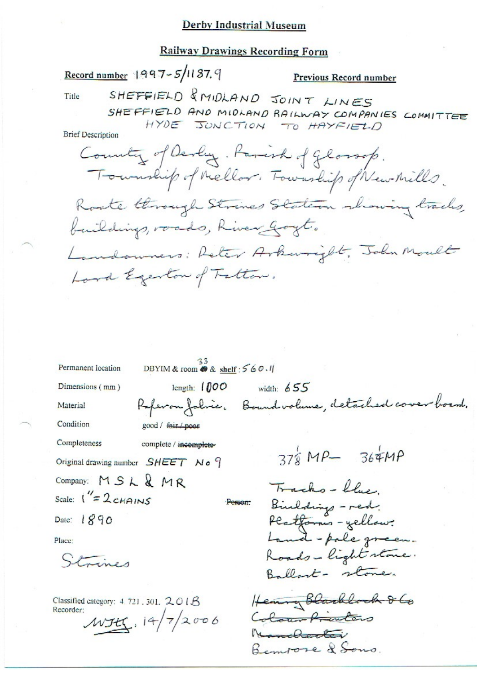#### **Railway Drawings Recording Form**

Record number 1997-5/1187.9

#### Previous Record number

Title

SHEFFIELD & MIDLAND JOINT LINES SHEFFIELD AND MIDLAND RAILWAY COMPANIES COMMITTEE HYDE JUNCTION TO HAYFIELD

County of Devly. Parish of gloroop. Township of Mellor. Township of New Mills. Roote through Strines Stateron showing tracks, buildings, roads, River Goyt. Landowners; Reter Arkwright, John Moult Lord Egenton of Tatton.

 $\frac{33}{DBYIM}$  & room  $\otimes$  & shelf : 560.1 Permanent location Dimensions (mm) length:  $1000$ width:  $655$ Referan fabric. Bound volume, detached cover board. Material Condition good / fair / poor Completeness complete / incomplete- $376MP - 364MP$ Original drawing number SHEET No 9 Company: MSL & MR Tracks-blue Scale:  $1'' = 2c$ HAINS Binddings - red. Person: Platforms - yellow:<br>Land - pale green. Date: 1890 Place: Roads-light stone. Strines Ballast- stone. Hearing Blackbock 860 Classified category: 4, 721, 301,  $201B$ Recorder: Colour frienters  $WH$ ,  $14/7/2006$ Numeroti Benvore & Sons.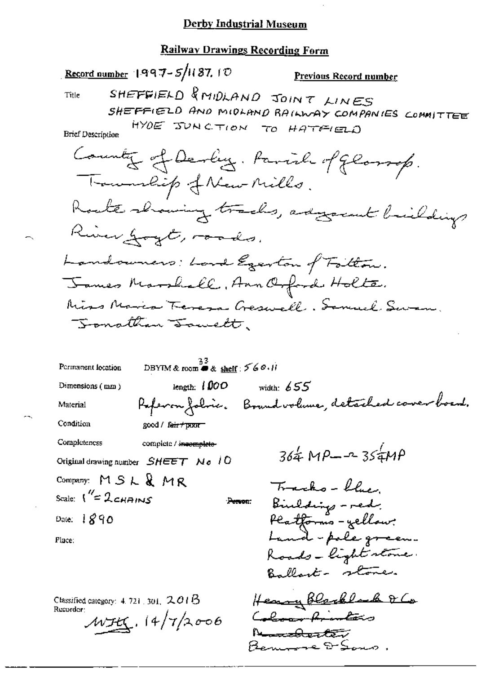#### Railway Drawings Recording Form

Record number  $1997 - 5/1187$ . ID Previous Record number SHEFFIELD & MIDLAND JOINT LINES Title SHEFFIELD AND MIDLAND RAILWAY COMPANIES COMMITTEE HYDE JUNCTION TO HATFIELD **Brief Description** Country of Devey. Pavil of gloroup. Trouwalip of New Mills. Roate showing tracks, adgressed briefdings River goyt, roads. Landowners: Lord Egerton of Follow. James Marshall, Ann Orford Holte. Miss Maria Teresa Geswell, Semuel Swam. Jonathan Tomett.  $\frac{33}{10}$ <br>DBYIM & room **@** & shelf : 5 6 0.11 Permanent location length:  $1000$ width:  $655$ Dimensions  $(mn)$ Paperon folice. Bound volume, detached cover board. Material Condition good / fair / poor Completeness complete / incomplete- $364 \text{ MP} - 354 \text{ MP}$ Original drawing number  $SHEET$  No 10 Company:  $MSLRMR$ Tracks - blue. Scale:  $1''=2$ cHAINS Bindding - red. Person: Platforms - yellow:<br>Land - pale green. Date:  $1890$ Place: Roads - light stone.

Classified category:  $4.7211301$ ,  $2.016$ Recorder:

 $WH_1.14/7/2006$ 

Henry Blacklack & Co Colon Printers h<del>emakerte i</del> Bennove D-Sons.

Ballant- stone.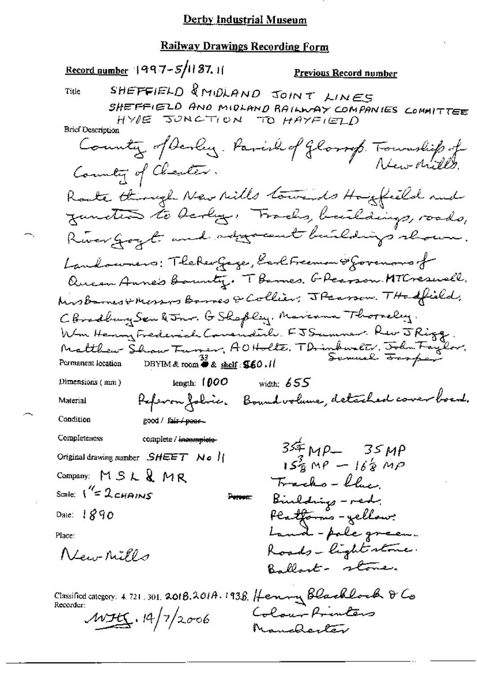Record number 1997-5/11 87. 11 Previous Record number SHEFFIELD & MIDLAND JOINT LINES Title SHEFFIELD AND MIDLAND RAILWAY COMPANIES COMMITTEE HYPE JONGTION TO HAYFIELD **Brief Description** County of Devly. Parish of Glorrep. Township of Country of Charles. Roate through New Mills towards Hougheild and zunction to berly. Tracks, buildings, roads, River Goyt and adjocent buildings shown. Landowners: TheReoGage, Earl Freeman & Governors fr Queen Anne's Bounty. T Barnes, G Pearson MTCresuell, Kinsbarnes & Messors Barnes & Collier; J Pearson. THe offield, CBradburg Sen & Jonr. G Shapley. Marcama Thorneley. Wm Henry Frederick Covendite. FJSummer. Rev J Rigg. Matthew Show Furner, AOHolte, TDrinkwelt, John Faylor,<br>Permanent location DBYM&room #& <u>shelf</u>: **56**0.11 Sommel <del>San f</del>ey Permanent location length:  $1000$  width:  $655$ Dimensions (mm) Poferon folici. Boundvolume, detailed cover boent. Material Condition good / fair / peer-Completeness complete / incomplete- $34 mP - 35 MP$ Original drawing number  $SHEET$  No ||  $15\frac{3}{8}$  MP  $-16\frac{1}{8}$  MP Company: MSL&MR Tracks - flux Scale:  $1^{\prime\prime}$ = 2 CHAINS Bindding - red. Person: Platforms - yellow? Date:  $1890$ Land-pole green. Place: Roads-light stone. New Mills Ballart- stone. Classified category: 4.721.301.2018.201A.1938. Henny Blacklock & Co Recorder: Colour Printers  $WH_{1,14}/7/2006$ 

Manchester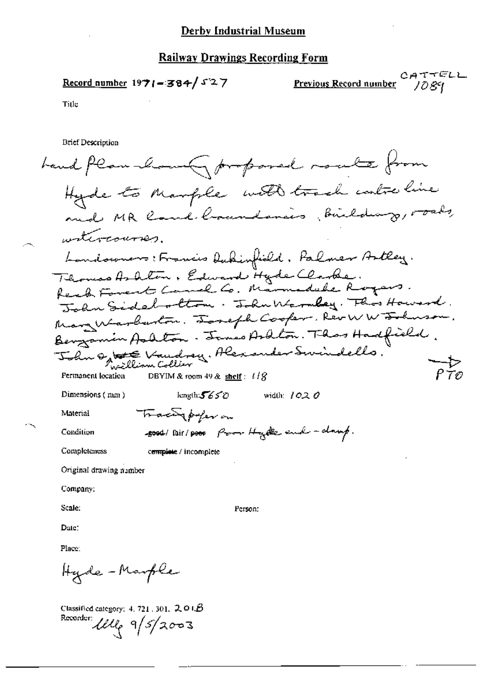Record number 1971-384/527

CATTELL Previous Record number

1089

Title

**Brief Description** 

hand plan how goroposed route from Hyde to Marple with track controline witcocourses. Landowners: Francis Dukinfield, Palmer Artley. Thomas Ashlon, Edward Hyde Clarke.<br>Reach Forent Camel Co. Marmadahe Royers. John Sidelottom. John Warmbey. This Howard. Marg Warbarton. Tomefh Cooker, Rev WW Tohnson. Benzamin Aalton. James Ardton. Thas Hadfield. John og te Vandrey, Alexander Swindells. —1><br>P 70 Permanent location DBYIM & room 49 & shelf:  $l/\hat{S}$ length: $5650$ Dimensions (mm) width:  $1020$ Tracing poper on Material soot lair/poor from Hyde end - damp. Condition Completeness c<del>omplete</del> / incomplete Original drawing number Company: Scale: Person: Date: Place: Hyde-Marple

Classified category: 4, 721, 301,  $201B$ Recorder *Wlle* 9/5/2003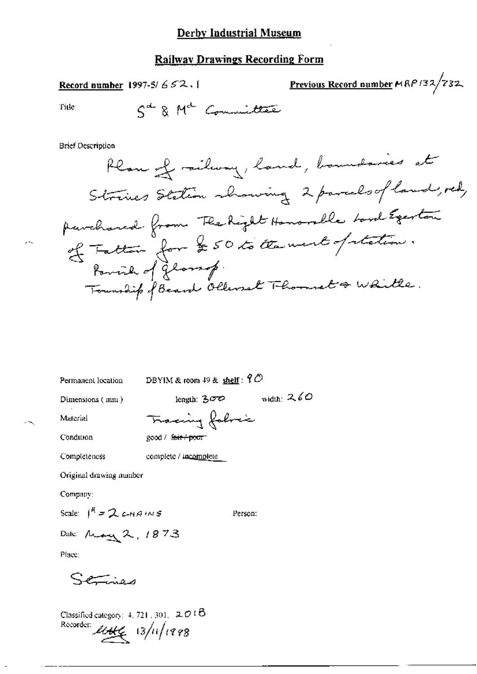Previous Record number MRP132/732 Record number 1997-5/652.1

Title

$$
S^{\text{d}} \& M^{\text{d}}
$$
 Commuittee

**Brief Description** 

Permanent location

DBYIM & room 49 & shelf:  $9^\circ$ 

Dimensions (mm)

length:  $300$  width:  $260$ 

Material Condition Tracing folice good / fair + poor

Completeness complete / incomplete

Original drawing number

Company:

Scale:  $1^R = 2c+19 \text{ m/s}$ 

Person:

Date: May 2, 1873

Place:

Services

Classified category:  $4, 721, 301, 2016$ Recorder:  $\mu_{\mathcal{H}\mathcal{L}}$  13/11/1998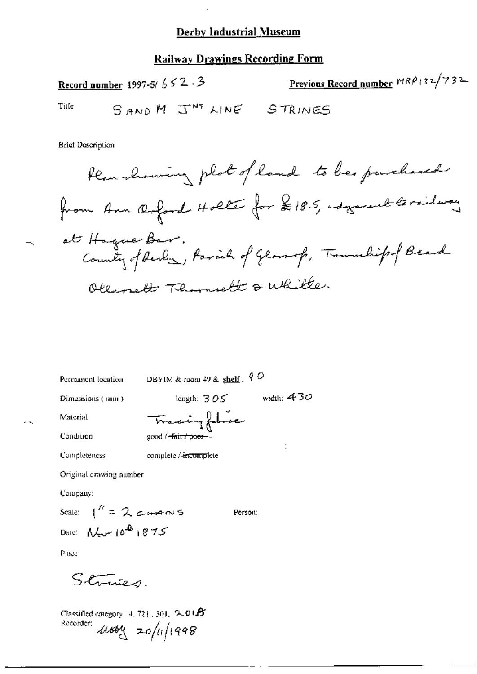#### Railwav Drawings Recording Form

Record number 1997-51  $6 \le 2 \le 3$ <br>Title  $\qquad \qquad \qquad \qquad \qquad$   $\qquad \qquad$   $\qquad \qquad$   $\qquad \qquad$   $\qquad \qquad$   $\qquad \qquad$   $\qquad$   $\qquad \qquad$   $\qquad$   $\qquad$   $\qquad$   $\qquad$   $\qquad$   $\qquad$   $\qquad$   $\qquad$   $\qquad$   $\qquad$   $\qquad$   $\qquad$   $\qquad$   $\qquad$   $\qquad$   $\qquad$   $\qquad$  SAND M J<sup>NT</sup> LINE STRINES

**Brief Description** 

1:A../,M1M~41 ?V\_""\ ,~»cv\_~g.-l»h»M=i¥~g/5'5,"-""?s"'"iL"}"""'""l X B-=\_//. Maj,/?(;:1Z7if%¢Lw2A,#,¢;1~,/g,@\*»J¢%,\*»-~@~¢'%¢'~\*-\* Tg 25\$'

Permanent location DBYIM & room  $49$  & shelf :  $9$  O

Dimensions (nm)  $\qquad \qquad$  length:  $305$  vidth:  $430$ 

Material — Tracing fabric

Condition  $\qquad \qquad \text{good /}-\text{fair /post}$ -

Completeness complete / incomplete

Original drawing number

Company:

Scale:  $1'' = 2$  c+m s Person: Date:  $M_{\rm tot}$   $10^{4}$   $1875$ 

ŧ

Place

 $Stimeq$ .

Classified category,  $4, 721, 301, 2, 015$ Recorder:  $\mu$ song 20/11/1998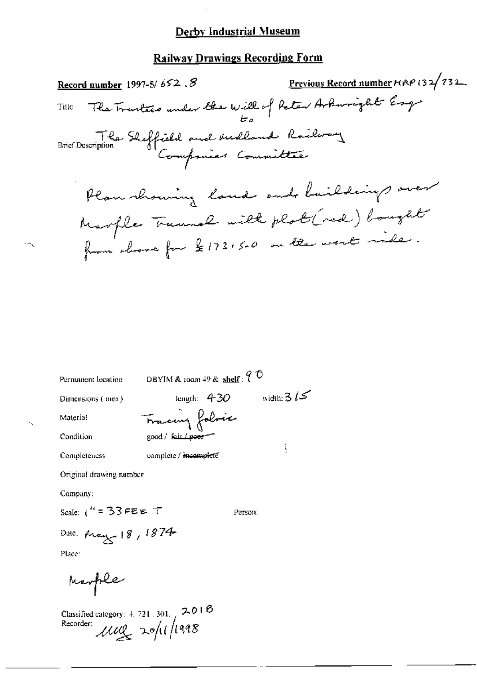# **Railway Drawings Recording Form**

<u>Previous Record number</u>  $F(RP/32/732$ . Record number 1997-5/652.8 The Trantees under the Will of Reter Arkuright Esq. Title Brief Description Shaffield and Medland Railway Plan showing land and buildings over Marple Trumal with plot (red) bought from above for \$173,500 on the west ride.

DBYIM & room  $49$  & shelf:  $9$  O Permanent location length:  $430$  width:  $315$ Dimensions (mm) Tracing folocie Material Condition good / fair *L*eeer ł complete / incompleté Completeness Original drawing number Company: Scale:  $1^{11} = 33$  FEE T Person: Date: May 18, 1874

Place:

Marple

Classified category: 4, 721, 301,  $\sim$  2, 0 1  $\Theta$ Recorder:  $\mu\omega$  20/11/1998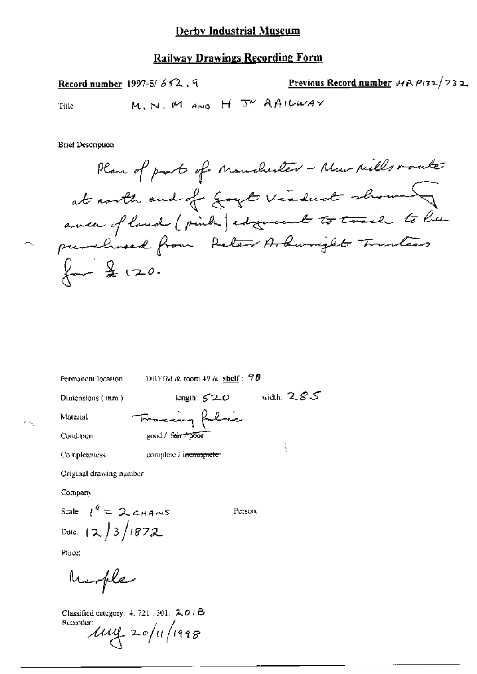## **Railway Drawings Recording Form**

Previous Record number  $\forall A \mathsf{P}(32/732)$ Record number 1997-5/ $652.9$ M. N. M AND H J AAILWAY Title

**Brief Description** 

₹.

Permanent location

DBYIM & room 49 & shelf :  $90$ 

Tracing folice

good / fair / poor

Dimensions (mm)

length:  $520$  width:  $285$ 

ŧ

Material Condition

Completeness complete / incomplete-

Original drawing number

Company:

Scale:  $1^k = 2c_{HAMS}$ Date:  $(2)3/1872$ 

Person:

Place:

Marple

Classified category: 4, 721, 301, 2, 0 1 B Recorder.<br> $1112 - 20/11/1998$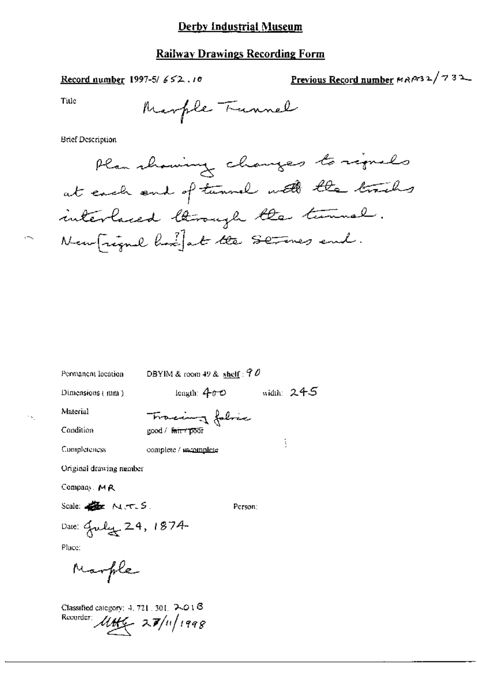## **Railway Drawings Recording Form**

Record number 1997-5/652.10

Previous Record number MAPr32/732

Title

**Brief Description** 

DBYIM & room 49 & shelf:  $90$ Permanent location leagth:  $400$  width:  $245$ Dimensions (mm) Material Tracing folice Condition good / fair / poor ţ Completeness complete / mcomplete Original drawing number Company. MR Scale: **Ex** N.T.S. Person:

Ā,

 $\sim$ 

Date: July 24, 1874

Place:

Marple

Classified category:  $4, 721, 301, 7401$   $\beta$ Recorder  $\mathcal{U}H46 - 27/n/1998$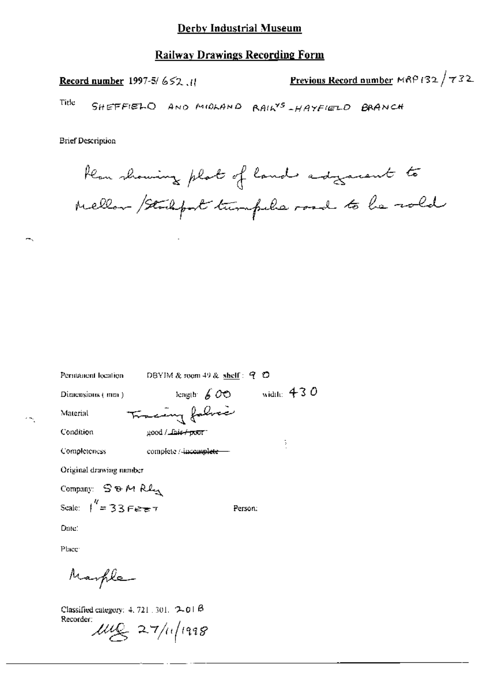Previous Record number MRP 132 / 732 Record number 1997-5/652.11

Title SHEFFIELD AND MIDLAND RAILYS - HAYFIELD BRANCH

**Brief Description** 

А.

 $\epsilon$   $\sim$ 

Hear showing plat of land adgressent to Mellow / Studyort tumpels road to be rold

| Permanent location                             | DBYIM & room 49 & shelf: $Q$ $Q$ |              |
|------------------------------------------------|----------------------------------|--------------|
| Dimensions (mm)                                | length $600$                     | width: $430$ |
| Material                                       | Tracing fabric                   |              |
| Condition                                      | good / Lais <del>/ poor</del> 1  |              |
| Completeness                                   | complete / incomplete -          |              |
| Original drawing number                        |                                  |              |
| Company: $S$ & M $R$ $\ell_{\rm M}$            |                                  |              |
| Scale: $\int^R = 33 \text{ F}e^{\frac{1}{kT}}$ | Person:                          |              |

Date:

Place:

Marple

Classified category: 4, 721, 301,  $2-01$   $\beta$ Recorder:  $\mu\mathfrak{C}$  27/11/1998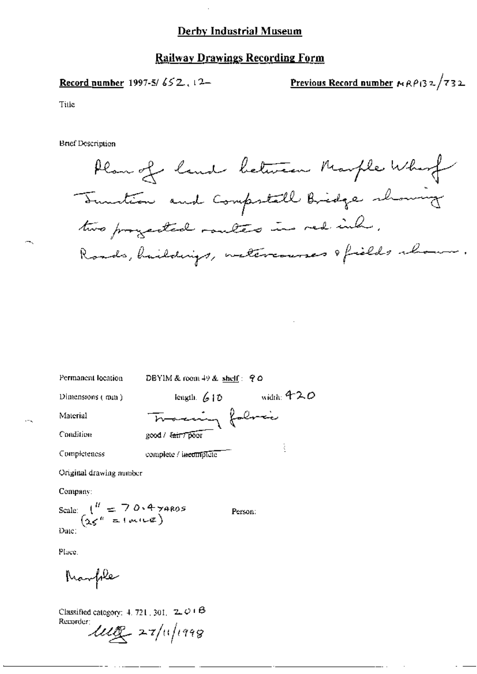#### **Railway Drawings Recording Form**

Record number 1997-5/652.12-

Previous Record number  $RAP$ 132/732

Title

**Brief Description** 

Plan of land between Marple Whom Territion and Compostall Bridge showing two progected routes in red inh. Roads, buildings, metercourses ofields abour.

Permanent location DBYIM & room 49 & shelf: 90 length,  $610$  width: 420 Dimensions  $($  mm $)$ Traccing folice Material Condition good / latt 7 poor ł Completeness complete / incomplete

Original drawing number

Company:

Scale:  $\begin{pmatrix} u & 7 & 0.4 & 7 & 4805 \\ 25 & 1 & 1 & 1 & 1 \end{pmatrix}$  $\overline{\mathrm{Date}}$ :

Person:

Place.

Marple

Classified category:  $4.721$ ,  $301$ ,  $2.01$  $\beta$ Recorder:  $\mathcal{U}\mathcal{U}$  27/11/1998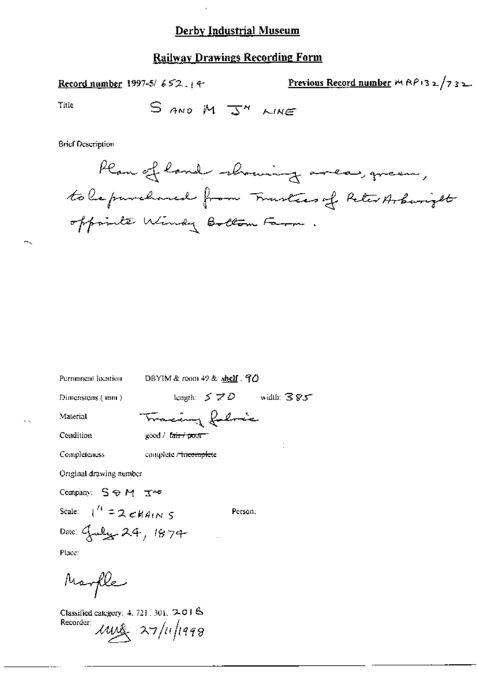Previous Record number  $M \wedge P$ 132/732 Record number 1997-5/652.14

Title

**Brief Description** 



Permanent location

DBYIM & room  $49$  & shelf  $.70$ 

Tracing folosic

Dimensions (mm)

length:  $570$  width:  $385$ 

Condition

Material

good / f<del>air / poor</del>

Completeness complete <del>/ incomplet</del>e

Original drawing number

Company: SOM Ins

Scale:  $\int_1^L = 2 \epsilon H A t N S$ 

Person;

Date: Guly 24, 1874 Place:

Marfle

Classified category: 4, 721, 301, 7, 04 & Recorder:  $\mu$ use 27/11/1998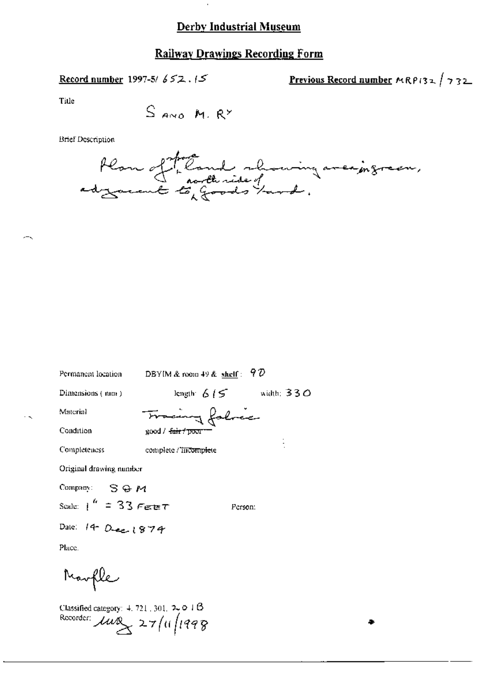# **Railway Drawings Recording Form**

Record number 1997-5/652.15

<u>Previous Record number</u>  $MRPI32 / 732$ 

Title

**Brief Description** 



| Permanent location        | DBYIM & room 49 & shelf: $9\%$    |                     |
|---------------------------|-----------------------------------|---------------------|
| Dimensions (mm)           | length: $6/5$                     | width: 330 $\sigma$ |
| Material                  | Fracing falric                    |                     |
| Condition                 | good / <del>fair / poor</del>     |                     |
| Completeness              | complete / <del>incomple</del> te |                     |
| Original drawing number   |                                   |                     |
| Company: $S \oplus M$     |                                   |                     |
| Scale: $1^{h}$ = 33 Feber |                                   | Person:             |
| Dale: 14 Dec 1874         |                                   |                     |
| Place.                    |                                   |                     |
| Marfle                    |                                   |                     |

Classified category:  $4, 721, 301, 790, 18$ Recorder:  $\mu v$  27/11/1998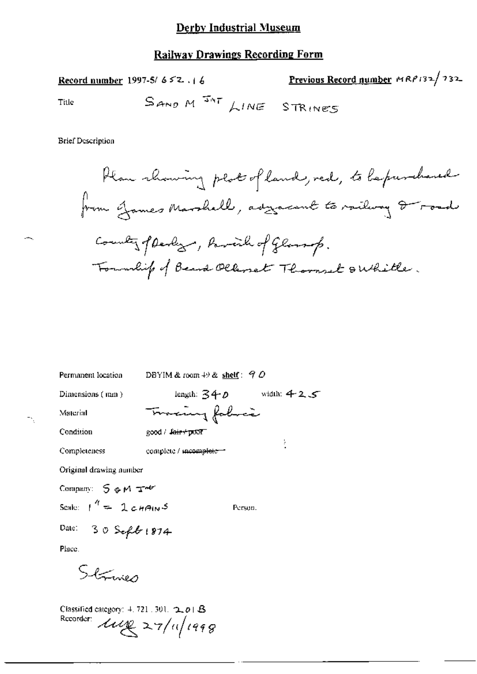Previous Record number MRP132/732 Record number 1997-5/652.16 SAND M<sup>INT</sup> LINE STRINES

**Brief Description** 

Title

Plan showing plat of land, red, to be purchased from James Marshall, asycarent to railway I road County pleaky, Parink of Glang. Township of Beard Ollanet Thomas o Whitle.

DBYIM & room  $+9$  & shelf:  $9$  O Permanent location length:  $340$  width:  $425$ Dimensions (mm) Tomaing folice Material Condition good / fair+poor ł complete / mcomplete -Completeness Original drawing number

Company: 5 oM Tot Scale:  $1^4$  =  $2 \text{cm}$ 

Person.

Date:  $30$  Sept  $(874$ 

Place.

Strinier

Classified category:  $4.721$ . 301.  $2.01B$ Recorder: lug 27/11/1998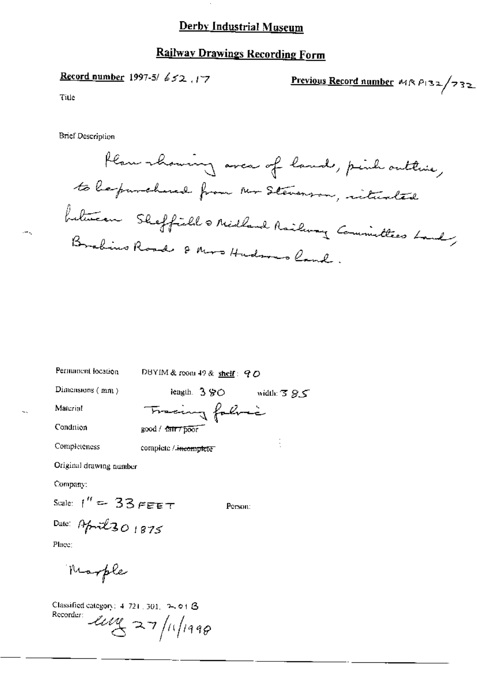l.

# **Railway Drawings Recording Form**

Record number 1997-5/652.17

Previous Record number  $M \wedge P 32 / 732$ 

Title

**Brief Description** 

| Permanent location      | DBYIM & room 49 & shelf: 90     |  |  |
|-------------------------|---------------------------------|--|--|
| Dimensions $(mn)$       | length. $3\,90$<br>width: $385$ |  |  |
| Material                | Tracing fabric                  |  |  |
| Condition               | good / fair / poor              |  |  |
| Completeness            | complete / incomplete           |  |  |
| Original drawing number |                                 |  |  |
|                         |                                 |  |  |

Company:

Scale:  $1'' = 33$  FEET

Person:

Date: April 30 1875 Place:

Marple

Classified category: 4-721, 301, 2-01 B Recorder  $\mathcal{L}u$  27/11/1998

 $\rightarrow$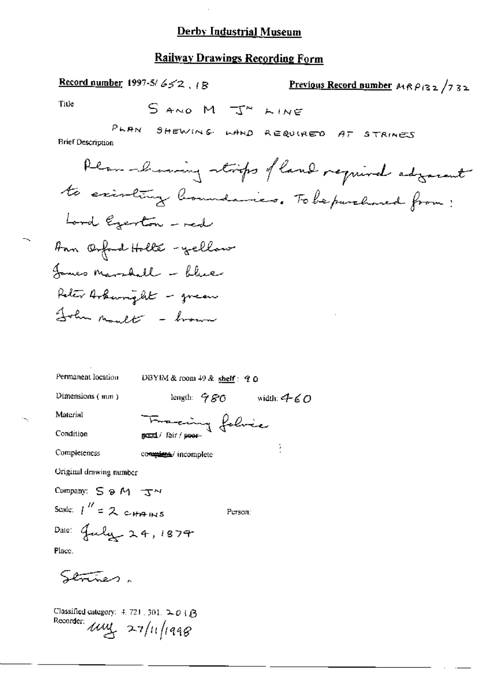#### **Railway Drawings Recording Form**

Record number 1997-5/ $652$ ,  $18$ Previous Record number  $A \wedge P$ 132/732 Title SAND M J" LINE PLAN SHEWING LAND REQUIRED AT STRINES **Brief Description** Plan-browing strips of land required adjoint to existing boundaries. To be purchased from: Lord Egenton - med Ann Onford Holle - yellow James Marshall - blue Reter Arkampht - green John moult - brown Permanent location DBYIM & room 49 & shelf: 9 0 length:  $980$  width:  $460$ Dimensions (mm) Material Francing folice Condition ÿ Completeness complete/ incomplete Original drawing number Company: S & M TV Scale:  $1'' = 2$  c-HAINS Person: Dale: July 24, 1879 Place.

Strines.

Classified category: 4, 721 [301,  $2.01\beta$ Recorder:  $\mu$  $\mu$  27/11/1998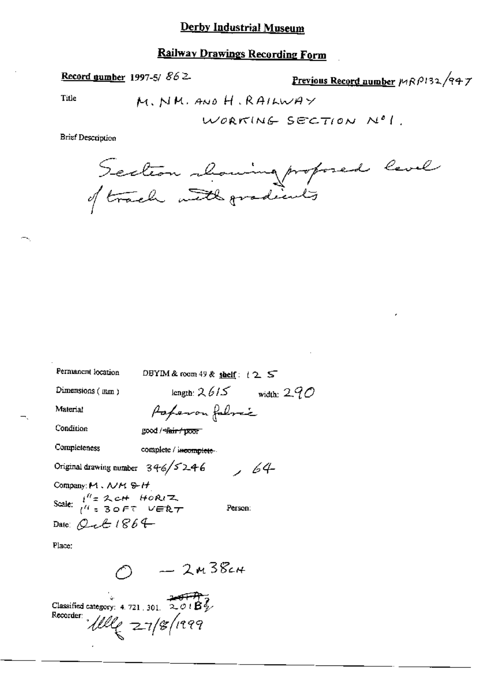### **Railway Drawings Recording Form**

Record number 1997-5/  $862$ 

Previous Record number MRP132/947

Title

M. NM. AND H. RAILWAY

Brief Description

Section chaming proposed level

| Permanent location<br>DBYIM & room 49 & shelf: $\pm 2$ S |                         |
|----------------------------------------------------------|-------------------------|
| length: $2615$<br>Dimensions $(mm)$                      | width: 2.9 $\mathcal O$ |
| Material<br>Poperon fabric                               |                         |
| Condition<br>good / <del>dair / poor</del>               |                         |
| Completeness<br>complete / incomplete.                   |                         |
| Original drawing number $346/5246$                       | , 64                    |
| Company: M. WM & H                                       |                         |
| Scale: $i^H = 2$ cH HORIZ.<br>$i^H = 3$ OFT VERT         | Person:                 |
| Date: Qct 1864                                           |                         |
| Place:                                                   |                         |
| $-2438c$                                                 |                         |

Classified category: 4.721, 301, 201 $\overrightarrow{B_{\psi}}$ Recorder  $Ulle  $27/8/1999$$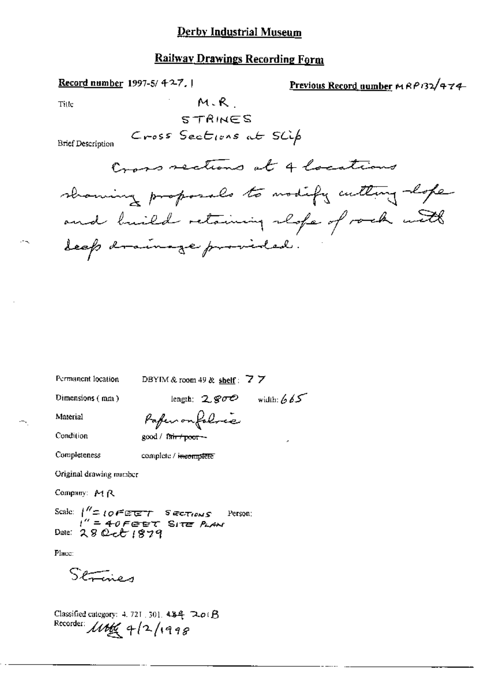#### **Railway Drawings Recording Form**

Record number 1997-5/427.1 Previous Record number MRP132/474 M.R Title STRINES Cross Sections at SLLp **Brief Description** Cross sections at 4 locations showing proposals to modify cutting lope and build retaining respe of rock with deep drainage provided.

Permanent location

DBYIM & room 49 & shelf:  $\overline{Z}$   $\overline{Z}$ 

Dimensions (mm)

length:  $2.800$  width: 665

Material

Condition

Paper on folores good / fair / poor --

Completeness

complete / incomplete

Original drawing ramber

Company: MR

Scale:  $1'' = 10FEET$  SECTIONS<br> $1'' = 40FEET$  SITE PLAN<br>Date: 28 Oct 1879 Person:

Place:

Setting

Classified category: 4, 721, 301,  $484$   $20(B)$ Recorder:  $10069999$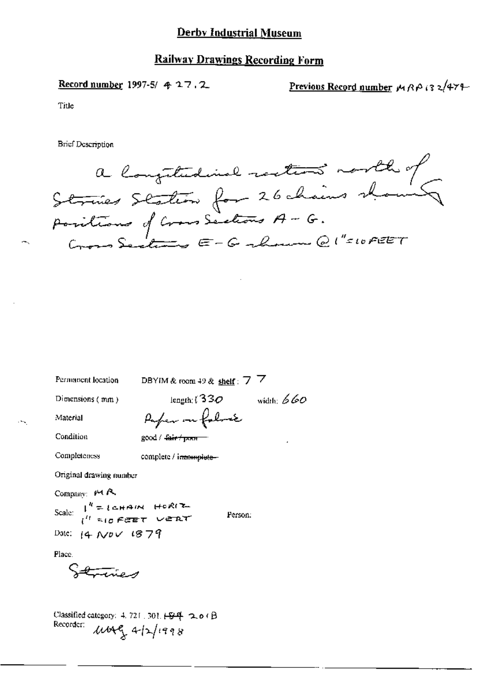**Record number** 1997-5/  $\bm{\phi}$  2.7, 2.

Previous Record number  $M \wedge B$  is  $2/47$ +

Title

**Brief Description** 

a longitudinal resters north of<br>Strines Staten for 26 chains showing<br>Positions of Cross Sections A - G.<br>Cross Sections E - G shown @ 1"=10FEFT

Permanent location

DBYIM & room 49 & shelf:  $7\overline{7}$ 

Dimensions (mm)

length;  $(330$  width:  $660$ Purper on follows

Condition

Material

good / <del>fair / p.m.</del>

Completeness

complete / incomplete-

Original drawing number

Company: MR

Scale:  $I^N = I$ chain Horiz Date:  $[4 \text{ Nb} \vee 1879]$ 

Person:

Place.

Classified category:  $4.721$ , 301,  $\cancel{+8.4}$ , 2.0 ( $\cancel{\beta}$ Recorder:  $1449 + 42/1998$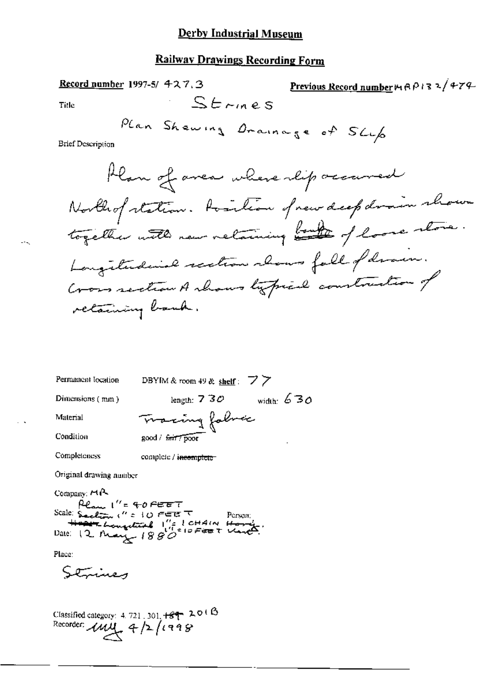| <u>Railway Drawings Recording Form</u>                                                                                                                                                                                                                  |  |  |  |
|---------------------------------------------------------------------------------------------------------------------------------------------------------------------------------------------------------------------------------------------------------|--|--|--|
| Previous Record number 14 A P 13 2/474<br><b>Record number 1997-5/ 427.3</b>                                                                                                                                                                            |  |  |  |
| $St$ rines<br><b>Title</b>                                                                                                                                                                                                                              |  |  |  |
| Plan Shewing Drainage of SLLp<br><b>Brief Description</b>                                                                                                                                                                                               |  |  |  |
| Han of avea where lip occurred<br>Northof station. Position of new deep drain shown<br>together with new retaining both of loose store.<br>Longitudinal section chans fall of draw.<br>Cross section A shows typical construction of<br>retaining bank. |  |  |  |
| Permanent location<br>DBYIM & room 49 & shelf: $77$                                                                                                                                                                                                     |  |  |  |
| width: $630$<br>Dimensions (mm)<br>length: $7\overline{3}\mathcal{O}$                                                                                                                                                                                   |  |  |  |
| Leing fabroic<br>Material                                                                                                                                                                                                                               |  |  |  |
| Condition<br>good / fair / poor                                                                                                                                                                                                                         |  |  |  |
| Completeness<br>complete / incomplete                                                                                                                                                                                                                   |  |  |  |
| Original drawing number                                                                                                                                                                                                                                 |  |  |  |
| Company: $H_1A_2$<br>Plan I''= 40 FEET<br>Scale: S <sub>tre</sub> alima, (″ = 10 FEE <sup>π</sup><br>Person;<br>Hope Longwise 1" CHAIN Ho                                                                                                               |  |  |  |
| Place:                                                                                                                                                                                                                                                  |  |  |  |

Strines

 $\omega_{\rm{max}}$ 

 $\sim$ 

Classified category: 4.721.301.  $+89$  2018<br>Recorder:  $144$  4/2/1998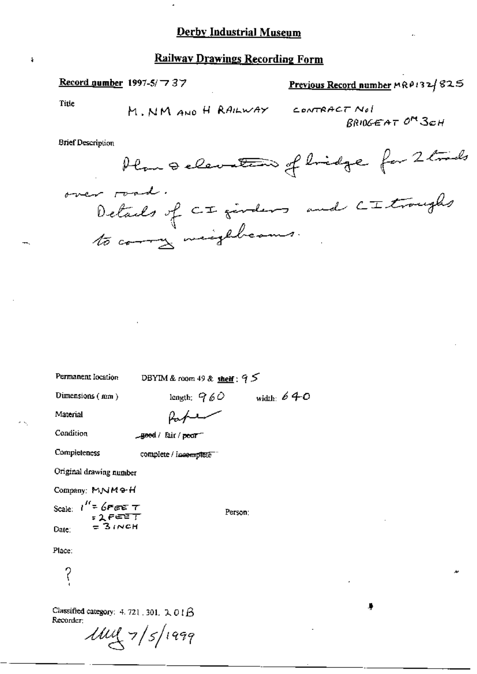Record number 1997-5/77 37

Previous Record number MRP132/825

Title

ŧ

CONTRACT Not BRIOGEAT OM 3CH

**Brief Description** 

Permanent location

DBYIM & room 49 & shelf :  $95$ 

Dimensions (mm)

length:  $960$  width: 640

Material

Paper

Condition

\_geed / fair / peor-

Completeness

complete / incomplete "

Original drawing number

Company: MNM+H

Scale:  $t'' = 6$ PEE T<br>= 2 PEE T<br>One: = 3 INCH Date:

Person:

Place:

 $\gamma$ 

Classified category: 4.721, 301,  $2.01\beta$ Recorder:

 $1111 \frac{1}{5}$ 1999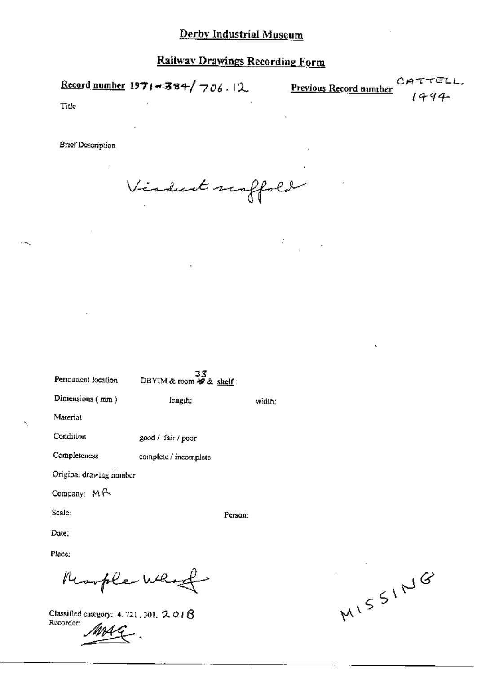Record number 1971-384/706.12

Previous Record number

rell.  $-94-$ 

Title

**Brief Description** 

Viadunt scoffold

 $\mathcal{I}$ 

| Permanent location       | 33<br>DBYIM & room $49 \& \text{ shell}$ : |         |
|--------------------------|--------------------------------------------|---------|
| Dimensions (mm)          | length:                                    | width.  |
| Material                 |                                            |         |
| Condition                | good / fair / poor                         |         |
| Completeness             | complete / incomplete                      |         |
| Original drawing number  |                                            |         |
| Company: $M \rightarrow$ |                                            |         |
| Scale:                   |                                            | Person: |
| Date:                    |                                            |         |

Place:

Remple Who

Classified category: 4.721, 301, 2.018 Recorder:

MISSING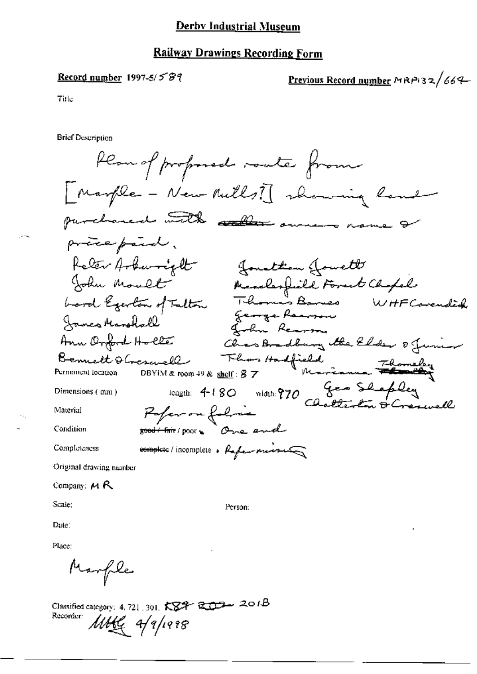#### <u>Derby Indus</u>trial Museum

#### **Railway Drawings Recording Form**

#### Record number 1997-5/ $58$

<u>Previous Record number</u>  $MRPI32/664$ 

Title

**Brief Description** 

Plan of professed roate from [Marple - New Rulls] showing land purchaned with aller owners name & process paind.<br>Relax Arbenright (Jonathian Journal)<br>John Moult Marshall (Forest Chapel<br>Lord Egertar of Fultar Thomas Bonnes WHF Concuded<br>Jonnes Marshall (Channel Charmel Mearing the Elder of Junior)<br>Bennett Obresurell Floo preceptivel. Dimensions (mm) Paper on folice Material good / Fair / poor to Conse end Condition complete/incomplete. References Completeness Original drawing number Company:  $M R$ Scale; Person:

Date:

Place:

Marfile

Classified category: 4, 721, 301,  $K\mathbb{S}^{2}$   $\mathbb{R}$   $\mathbb{R}$   $\mathbb{R}$  2018 Recorder: MAG 4/9/1998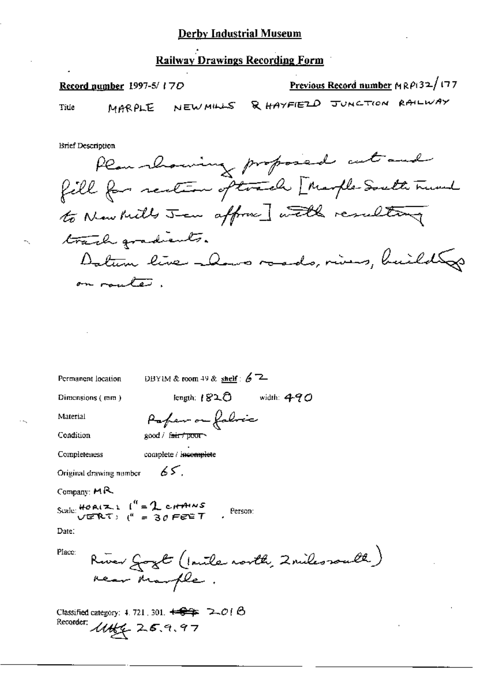#### **Railway Drawings Recording Form**

Previous Record number  $MRP(32/177)$ Record number 1997-5/17D MARPLE NEWMILLS & HAYFIELD JUNCTION RAILWAY Title

**Brief Description** 

Plan showing proposed cutand fill for rection oftward [ Marple South Trund to New Mills Jean affronce] with resulting track gradients. Datum live alows roads, rives, build to on route.

Permanent location

DBYIM & room 49 & shelf:  $67$ 

Dimensions (mm)

length:  $1820$  width:  $490$ 

Material

Paper on fabric  $good /$  fair  $\tau$  poor

Condition

Completeness

complete / incomplete

65.

Original drawing number

Company:  $MR$ 

Scale: HOAIZI  $I'' = 2$  cHAINS<br>VERT:  $I'' = 30$  FEET Person:

Date:

Place:

River Gozt (Inite north, 2 miles routh) near Marple.

Classified category: 4.721, 301.  $\leftrightarrow$   $\leftrightarrow$   $\leftrightarrow$   $\rightarrow$   $\circ$  ( $\leftrightarrow$ Recorder:  $1446 = 25.9.97$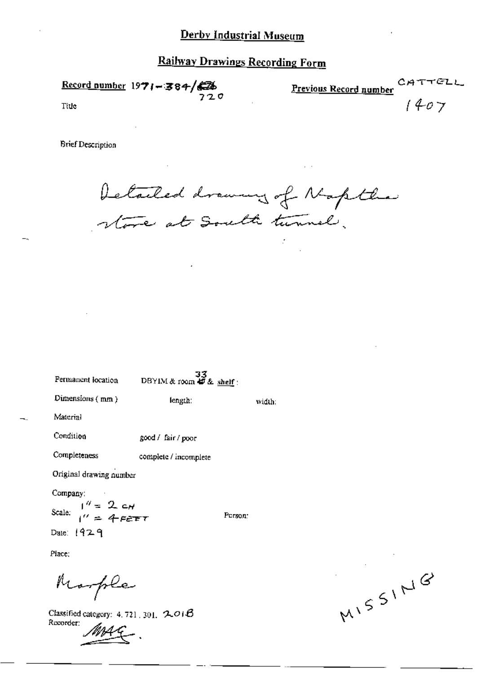$\frac{\text{Record number}}{720}$ 

CA<sup>-</sup> Previous Record number

TELL

 $1407$ 

Title

**Brief Description** 

Detailed drawing of Napthe.<br>Note at South turnel.

Permanent location

 $33$ <br>DBYIM & room  $49$  & shelf:

length:

Dimensions (mm)

width:

Person:

Material

Condition good / fair / poor

Completeness complete / incomplete

Original drawing number

Company:

 $1'' = 2 c_H$ Scale:  $I'' = 4$ FEFT

Date:  $1929$ 

Place:

Morple

Classified category: 4, 721, 301,  $201B$ Recorder:

MISSING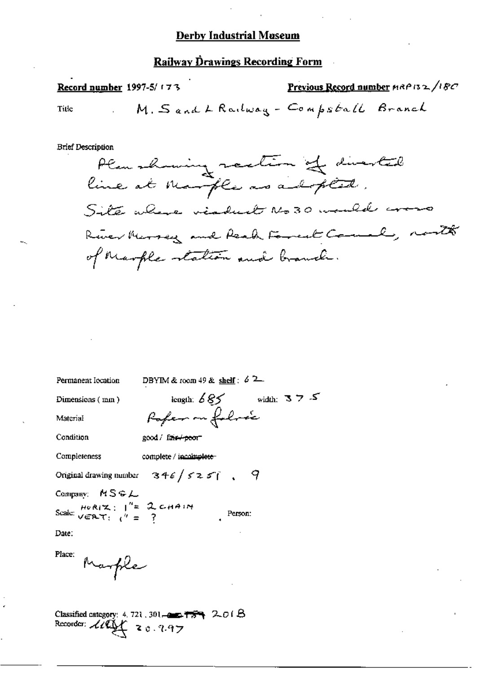**Railway Drawings Recording Form** 

Previous Record number HRP 132/18C Record number 1997-5/173 M. Sand L Railway - Compstall Branch Title

**Brief Description** 

Permanent Iocation

DBYIM & room 49 & shelf:  $62$ 

Poper on folice

 $\text{length: } \mathcal{L} \bigotimes \mathcal{L} \qquad \qquad \text{width: } \mathbb{E}[ \mathcal{L} \bigotimes \mathcal{L} \bigotimes \mathcal{L} \bigotimes \mathcal{L} \bigotimes \mathcal{L} \bigotimes \mathcal{L} \bigotimes \mathcal{L} \bigotimes \mathcal{L} \bigotimes \mathcal{L} \bigotimes \mathcal{L} \bigotimes \mathcal{L} \bigotimes \mathcal{L} \bigotimes \mathcal{L} \bigotimes \mathcal{L} \bigotimes \mathcal{L} \bigotimes \mathcal{L} \bigotimes \mathcal{L} \bigotimes \mathcal{L} \bigotimes$ 

Person:

Dimensions (mm)

Material

Condition

good / fair+peor

Completeness

complete / incomplete

Original drawing number  $346/5257$ , 9

Company: MSGL

Scale:  $\frac{H_0R(X)}{V \in RT}$ ;  $\frac{1}{V} = \frac{2}{3}$  CHAIN

Date:

Place:

Marple

Classified category: 4, 721, 301- $\bullet$   $\bullet$   $\bullet$   $\bullet$   $\bullet$   $\bullet$  2.01.8 Recorder:  $\mathcal{L}\ell\mathcal{Q}\mathcal{L}$  z c. 2.97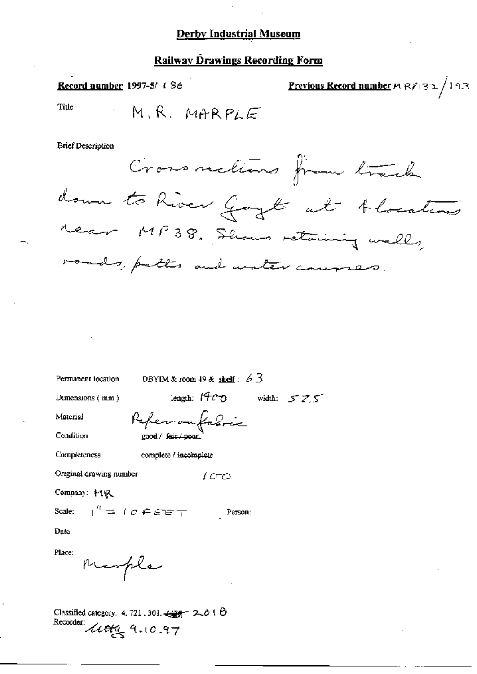#### **Railway Drawings Recording Form**

**Previous Record number**  $M R P 32 / 193$ Record number 1997-5/ 186 Title M.R. MARPLE

**Brief Description** 

Cross rections from track down to River Goyt at Alocations near MP38. Shows retaining well, roads, pattes and water courses,

Permanent location

DBYIM & room 49 & shelf:  $6\overline{3}$ 

Dimensions (mm)

length:  $1900$  width:  $575$ 

 $1CD$ 

Person:

Material

Condition

Reference good / fair /

Completeness

complete / incomplete

Original drawing number

Company: HR

 $I'' = I \circ F$  and  $T$ Scale:

Date:

Place:

Marple

Classified category: 4, 721, 301,  $\frac{1296}{100}$  2, 0 (  $\Theta$ Recorder: Little 9.10.97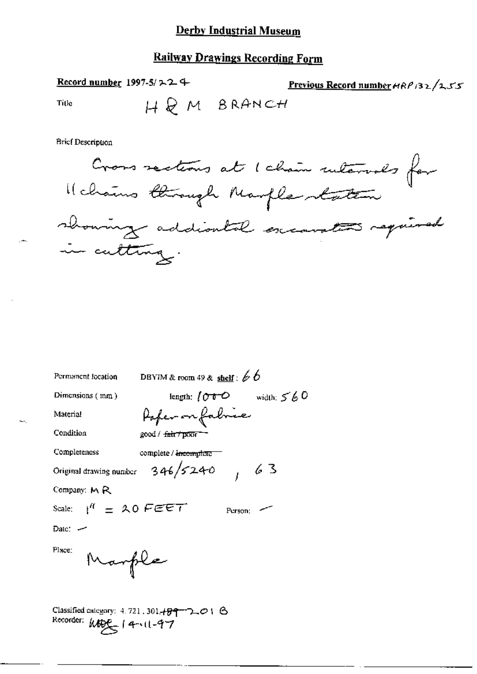# **Railway Drawings Recording Form**

Record number 1997-5/ $\geq 2$  +

Previous Record number  $\theta R$  /32/255

Title

HQM BRANCH



| Permanent location                  | DBYIM & room 49 & shelf: $66$                                            |  |
|-------------------------------------|--------------------------------------------------------------------------|--|
| Dimensions (mm)                     | length; $\int \mathcal{O} \cdot \mathcal{O}$ width; $\leq \frac{1}{6}$ O |  |
| Material                            | Poper on fabric                                                          |  |
| Condition                           | good / <del>fair / poor -</del>                                          |  |
| Completeness                        | complete / <del>incomplete</del>                                         |  |
|                                     | Original drawing number $346/5240$ $/63$                                 |  |
| Company: $M \, R$                   |                                                                          |  |
| Scale: $1^{\prime\prime}$ = 20 FEET | Person:                                                                  |  |
| Date: $-$                           |                                                                          |  |
| Place:<br>Marple                    |                                                                          |  |
|                                     | Classified category: $4.721$ , $301.499$ $2.01$ $\odot$                  |  |

Recorder:  $Mge_{5}$  | 4  $(1-97)$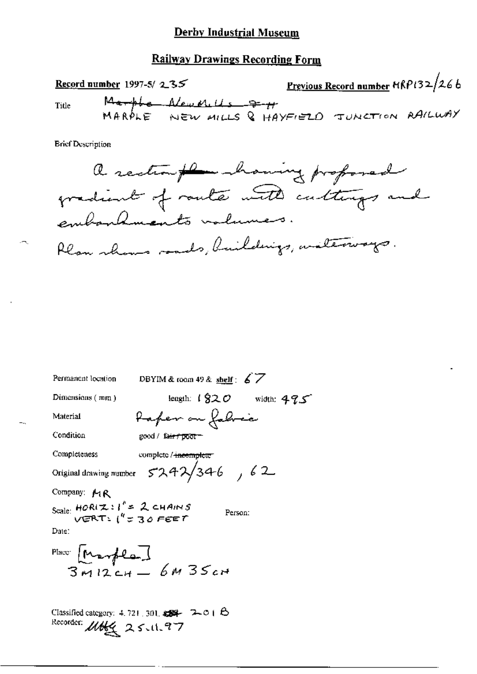#### Railway Drawings Recording Form

Record number 1997-5/ 2:35 Previous Record number  $HRP(32/266)$ **Title** Marphe Alew Mills = 7-11<br>MARPLE NEW MILLS & HAYFIELD JUNCTION RAILWAY

**Brief Description** 



| DBYIM & room 49 & shelf: $67$<br>Permanent location                                              |                             |
|--------------------------------------------------------------------------------------------------|-----------------------------|
| Dimensions (mm)                                                                                  | length: $1820$ width: $475$ |
| taper on fabric<br>Material                                                                      |                             |
| Condition<br>good / fa <del>ir / poor –</del>                                                    |                             |
| Completeness<br>complete / incomplete                                                            |                             |
| 5242/346, 62<br>Original drawing number                                                          |                             |
| Company: MR                                                                                      |                             |
| Scale: $HOR(\mathcal{I}: I' = \mathcal{Z}$ CHAINS<br>VERT: $I'' = \mathcal{Z}$ O FEET<br>Person: |                             |
| Date:                                                                                            |                             |
| Place [Marple]<br>3 M12 CH - 6 M 35 CH                                                           |                             |
|                                                                                                  |                             |
|                                                                                                  |                             |
| Classified category: $4.721,301$ , $\sqrt{34}$ $\sim$ $\sim$ 0 $\approx$ $\Theta$                |                             |

Classified category: 4, 121, 301,  $\overline{39}$ <br>Recorder:  $\mathcal{U}\cancel{b}$   $\mathcal{L}\left(2, 5, 11, 7, 7\right)$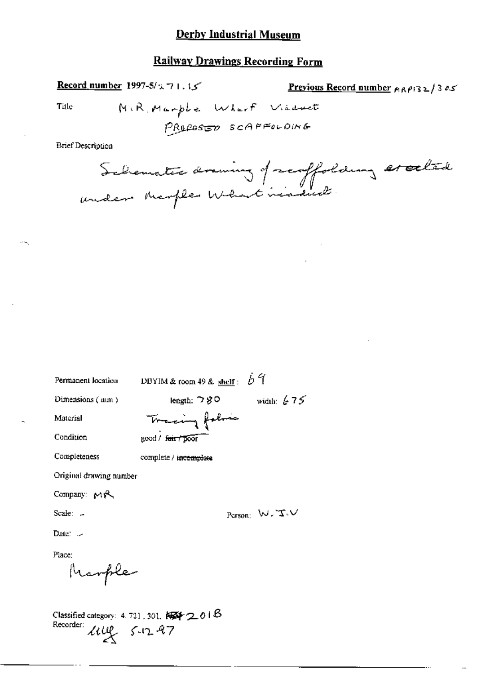#### **Railway Drawings Recording Form**

**Record number 1997-5/271.15** 

Previous Record number  $p_1p_2p_3 \ge 13$  os

Title

MiR. Marphe Wharf Visduct PROPOSED SCAFFOLDING

**Brief Description** 

Schematic drawing of scoffolding escalade

Permanent location

DBYIM & room 49 & shelf:  $\overrightarrow{D}$   $\overrightarrow{q}$ 

Dimensions (mm)

length:  $780$  width:  $675$ 

Tracing folio

Condition

Material

good / fair / poor

complete / incomplete

Completeness

Original drawing number

Company: MR

Scale: -

Person:  $W, T \vee$ 

Date:  $\sim$ 

Place:

Marple

Classified category: 4, 721, 301,  $\sqrt{3}$  2, 01 B Recorder: Live 5-12-97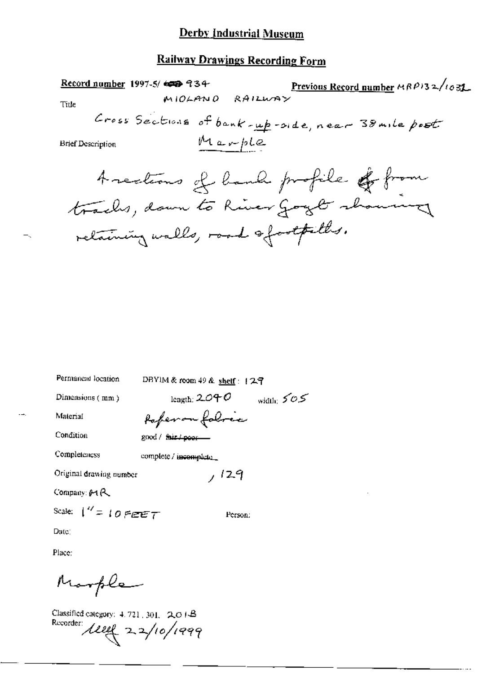# **Railway Drawings Recording Form**

|                          | Record number 1997-5/ $\epsilon$ = 34 |                                    |                                                   | Previous Record number $\triangle R$ P)32/1031 |
|--------------------------|---------------------------------------|------------------------------------|---------------------------------------------------|------------------------------------------------|
| Ti⊔e                     | MIOLANO                               | RAILWAY                            |                                                   |                                                |
|                          |                                       |                                    | Cross Sections of bank-up-side, near 38 mile post |                                                |
| <b>Brief Description</b> |                                       | Marple                             |                                                   |                                                |
|                          |                                       |                                    | Arections of bank profile of from                 |                                                |
|                          |                                       |                                    | tracks, down to River gogle showing               |                                                |
|                          |                                       | relaining walls, road ofootfilles. |                                                   |                                                |
|                          |                                       |                                    |                                                   |                                                |

| Permancial location |  |
|---------------------|--|
|---------------------|--|

DBYIM & room 49 & shelf: 127

Dimensions (mm)

length:  $2040$  width:  $505$ Paperon foloric

 $/129$ 

Person:

Material Condition

good / fair / poor --

Completeness

complete / incomplete\_

Original drawing number

Company: 01R

Scale:  $1'' = 10$  FEET

Date:

Place:

Marple

Classified category: 4, 721, 301, 2018 Recorder  $\mu$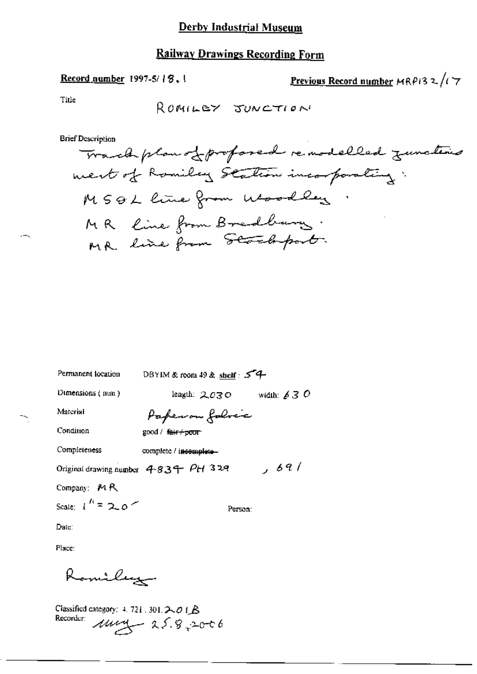# **Railway Drawings Recording Form**

#### Record number 1997-5/18.1

Previous Record number MRP13 2/17

Title

**Brief Description** 

DBYIM & room 49 & shelf: 54 Permanent location length:  $2.03$  O width:  $63$  O Dimensions (mm) Paperon folice Material Condition good / fair+poor Completeness complete / incomplete-Original drawing number  $483 + PH 329$   $69/$ Company: MR Scale:  $1^h = 2.0$ Person: Date:

Place:

Romiley

Classified category: 4.721.301.2018<br>Recorder:  $\mu$ <br> $\mu$  25.9.2006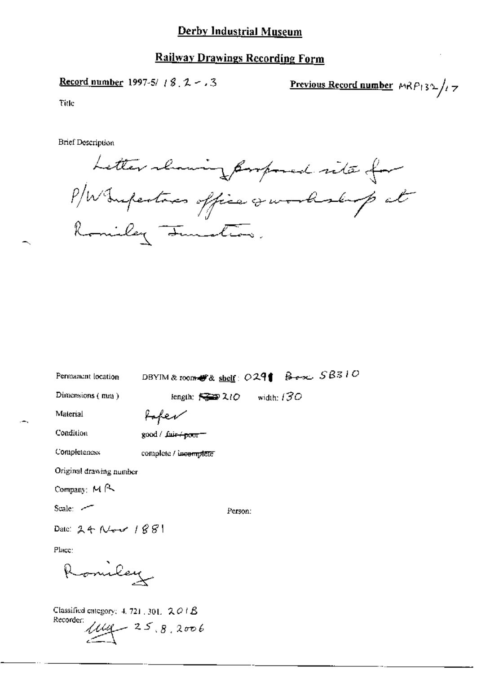#### **Railway Drawings Recording Form**

Record number 1997-5/  $/$  8, 2 -  $/$  3

Previous Record number  $MRP_132/77$ 

Title

Letter channing formpored site for Romiley Junction.

| Permanent location                       | DBYIM & room # & shelf: 0291 Box 58310 |  |  |
|------------------------------------------|----------------------------------------|--|--|
| Dimensions $(mn)$                        | length: $\mathbb{R}$ 210 width: 130    |  |  |
| Material                                 |                                        |  |  |
| Condition                                | good / fair + poor = 1                 |  |  |
| Completeness                             | complete / incomplete"                 |  |  |
| Original drawing number                  |                                        |  |  |
| Company: $M \sim$                        |                                        |  |  |
| Scale: $-$                               | Person:                                |  |  |
| Date: $24$ New $1881$                    |                                        |  |  |
| Place:                                   |                                        |  |  |
| Romiley                                  |                                        |  |  |
| Classified category: 4, 721, 301, $201B$ |                                        |  |  |

Recorder:  $\mu_{\ell_1} = 25.8.2006$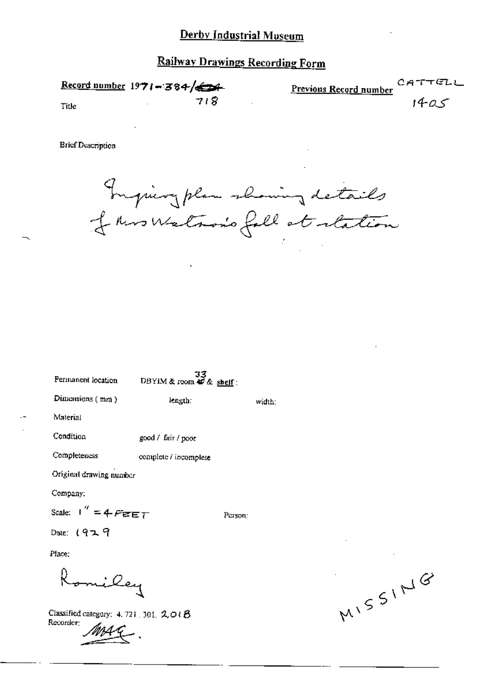Record number  $1971 - 384$ c, Previous Record number 718 Title

**Brief Description** 

Inguiry plan showing details

width:

 $33$ <br>DBYIM & room  $40$  & shelf: Permanent location Dimensions (mm) length: Material Condition good / fair / poor Completeness complete / incomplete Original drawing number Company: Scale:  $1'' = 4$  Ferry Person: Date:  $1929$ Place: omiley

Classified category: 4, 721 . 301.  $2 \circ \theta$ Recorder:

MISSING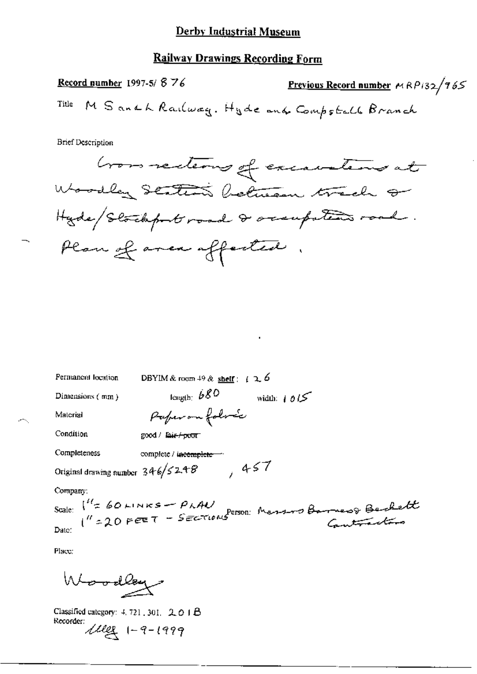# **Railway Drawings Recording Form**

Record number 1997-5/876 **Previous Record number**  $MRP/32/765$ M Sandh Railwag. Hyde and Compstall Branch Title

**Brief Description** 

| Permanent location                                                                                               | DBYIM & room $49$ & shelf : (2.6)      |  |  |  |
|------------------------------------------------------------------------------------------------------------------|----------------------------------------|--|--|--|
| Dimensions (mm)                                                                                                  | $_{\rm length}$ $b80$<br>width: $1015$ |  |  |  |
| Material                                                                                                         | Paperon folose                         |  |  |  |
| Condition                                                                                                        | $good /$ sair $+$ poor                 |  |  |  |
| Completeness                                                                                                     | complete / incomplete -                |  |  |  |
| ,457<br>Original drawing number $346/52.48$                                                                      |                                        |  |  |  |
| Company:                                                                                                         |                                        |  |  |  |
| Scale: $1^{\frac{1}{2}}$ 60 LINKS - PLAN<br>$1^{\frac{1}{2}}$ 20 FEET - SECTIONS PERSON: Massing Barnes& Backett |                                        |  |  |  |
|                                                                                                                  |                                        |  |  |  |
|                                                                                                                  |                                        |  |  |  |

Place:

Woodley

Classified category: 4, 721, 301, 2, 0 1 B Recorder:<br> $\text{Mler}$  1-9-1999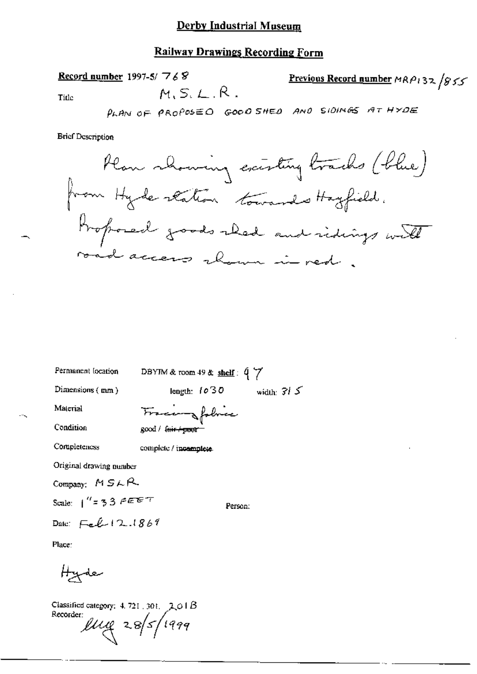#### **Railway Drawings Recording Form**

 $M.S.L.R.$ 

Record number 1997-5/ $768$ 

Previous Record number MRP132 /855

Title

PLAN OF PROPOSED GOOD SHED AND SIDINGS AT HYDE

**Brief Description** 



Permanent (ocation

DBYIM & room 49 & shelf:  $47$ 

length:  $1030$  width:  $315$ 

Person:

Dimensions (mm)

Material

Fracenzfolia

Condition Completeness

complete / incomplete

 $good /$  fair  $+$   $coor$ 

Original drawing number

Company:  $MSAR$ 

Scale:  $1'' = 33$   $F \in F$ 

Date:  $F_{eff}$  | 2.1869

Place:

رعلهپ<del>ر H</del>

Classified category:  $4.721$ , 301, 201B Recorder:  $\ell\ell\ell\ell$  28/5/1999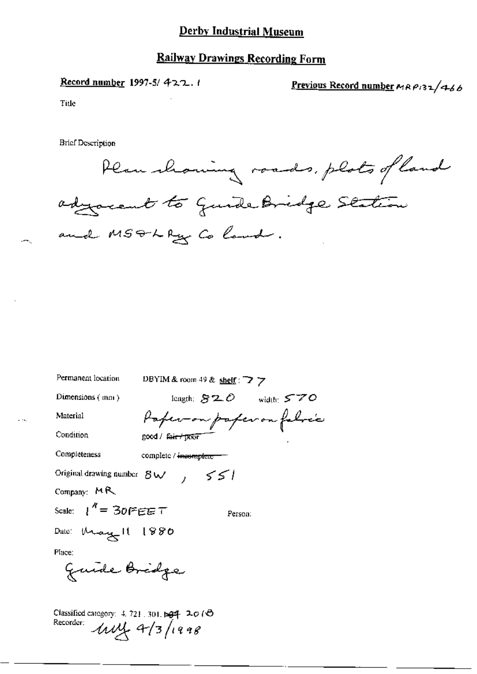# Railway Drawings Recording Form

Record number 1997-5/ $422.1$ <br>Previous Record number MAP132/466

Title

 $\sim$ 

Plan showing roads, plots of land adjocent to quide Bridge Station and MSTLRy Colond.

| Permanent location                                    | DBYIM & room 49 & shelf: $\rightarrow$ 7 |
|-------------------------------------------------------|------------------------------------------|
| Dimensions (mm)                                       | length: $820$ width: $570$               |
| Material                                              | Paperson paperon folse's                 |
| Condition                                             | good / <del>fair / poor</del>            |
| Completeness                                          | complete / <del>incomplete -</del>       |
| Original drawing number $B_{\mathsf{W}}$              | 551                                      |
| Company: $MR$                                         |                                          |
| Scale: $1'' = 30$ FEET                                | Person:                                  |
| Dale: May 11 1880                                     |                                          |
| Place:                                                |                                          |
| Guide Bridge                                          |                                          |
| Classified category: 4.721.301.594 ユの(6)<br>Recorder: | $1114 + 4711998$                         |